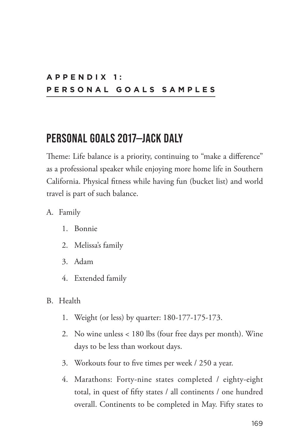### **A P P E N D I X 1 : PERSONAL GOALS SAMPLES**

### **PERSONAL GOALS 2017—JACK DALY**

Theme: Life balance is a priority, continuing to "make a difference" as a professional speaker while enjoying more home life in Southern California. Physical fitness while having fun (bucket list) and world travel is part of such balance.

- A. Family
	- 1. Bonnie
	- 2. Melissa's family
	- 3. Adam
	- 4. Extended family
- B. Health
	- 1. Weight (or less) by quarter: 180-177-175-173.
	- 2. No wine unless < 180 lbs (four free days per month). Wine days to be less than workout days.
	- 3. Workouts four to five times per week / 250 a year.
	- 4. Marathons: Forty-nine states completed / eighty-eight total, in quest of fifty states / all continents / one hundred overall. Continents to be completed in May. Fifty states to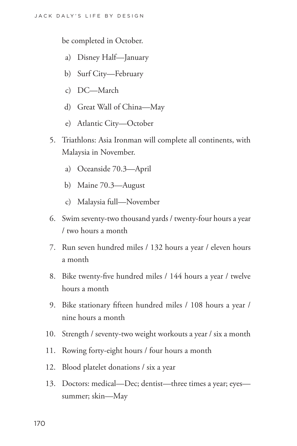be completed in October.

- a) Disney Half—January
- b) Surf City—February
- c) DC—March
- d) Great Wall of China—May
- e) Atlantic City—October
- 5. Triathlons: Asia Ironman will complete all continents, with Malaysia in November.
	- a) Oceanside 70.3—April
	- b) Maine 70.3—August
	- c) Malaysia full—November
- 6. Swim seventy-two thousand yards / twenty-four hours a year / two hours a month
- 7. Run seven hundred miles / 132 hours a year / eleven hours a month
- 8. Bike twenty-five hundred miles / 144 hours a year / twelve hours a month
- 9. Bike stationary fifteen hundred miles / 108 hours a year / nine hours a month
- 10. Strength / seventy-two weight workouts a year / six a month
- 11. Rowing forty-eight hours / four hours a month
- 12. Blood platelet donations / six a year
- 13. Doctors: medical—Dec; dentist—three times a year; eyes summer; skin—May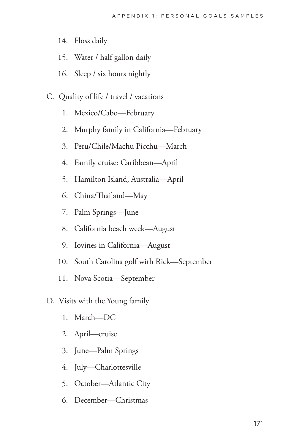- 14. Floss daily
- 15. Water / half gallon daily
- 16. Sleep / six hours nightly
- C. Quality of life / travel / vacations
	- 1. Mexico/Cabo—February
	- 2. Murphy family in California—February
	- 3. Peru/Chile/Machu Picchu—March
	- 4. Family cruise: Caribbean—April
	- 5. Hamilton Island, Australia—April
	- 6. China/Thailand—May
	- 7. Palm Springs—June
	- 8. California beach week—August
	- 9. Iovines in California—August
	- 10. South Carolina golf with Rick—September
	- 11. Nova Scotia—September
- D. Visits with the Young family
	- 1. March—DC
	- 2. April—cruise
	- 3. June—Palm Springs
	- 4. July—Charlottesville
	- 5. October—Atlantic City
	- 6. December—Christmas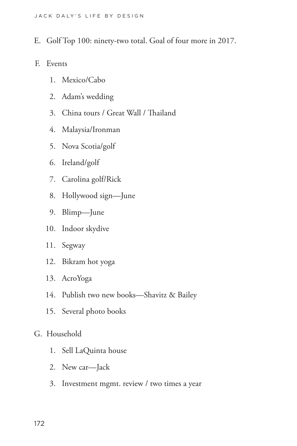- E. Golf Top 100: ninety-two total. Goal of four more in 2017.
- F. Events
	- 1. Mexico/Cabo
	- 2. Adam's wedding
	- 3. China tours / Great Wall / Thailand
	- 4. Malaysia/Ironman
	- 5. Nova Scotia/golf
	- 6. Ireland/golf
	- 7. Carolina golf/Rick
	- 8. Hollywood sign—June
	- 9. Blimp—June
	- 10. Indoor skydive
	- 11. Segway
	- 12. Bikram hot yoga
	- 13. AcroYoga
	- 14. Publish two new books—Shavitz & Bailey
	- 15. Several photo books
- G. Household
	- 1. Sell LaQuinta house
	- 2. New car—Jack
	- 3. Investment mgmt. review / two times a year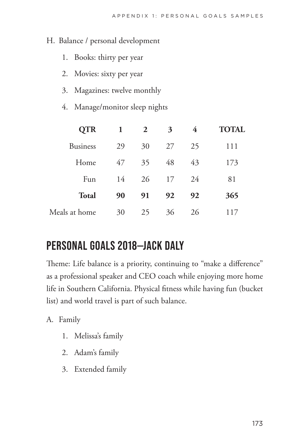#### H. Balance / personal development

- 1. Books: thirty per year
- 2. Movies: sixty per year
- 3. Magazines: twelve monthly
- 4. Manage/monitor sleep nights

| <b>QTR</b>      | $\mathbf{1}$ | 2  | 3  | 4  | <b>TOTAL</b> |
|-----------------|--------------|----|----|----|--------------|
| <b>Business</b> | 29           | 30 | 27 | 25 | 111          |
| Home            | 47           | 35 | 48 | 43 | 173          |
| Fun             | 14           | 26 | 17 | 24 | 81           |
| <b>Total</b>    | 90           | 91 | 92 | 92 | 365          |
| Meals at home   | 30           | 25 | 36 | 26 | 117          |

# **PERSONAL GOALS 2018—JACK DALY**

Theme: Life balance is a priority, continuing to "make a difference" as a professional speaker and CEO coach while enjoying more home life in Southern California. Physical fitness while having fun (bucket list) and world travel is part of such balance.

A. Family

- 1. Melissa's family
- 2. Adam's family
- 3. Extended family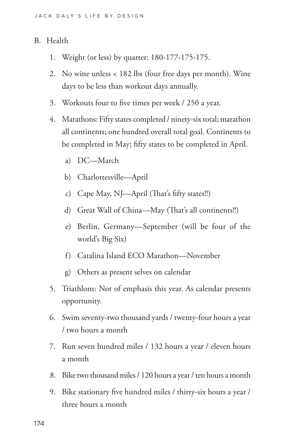### B. Health

- 1. Weight (or less) by quarter: 180-177-175-175.
- 2. No wine unless < 182 lbs (four free days per month). Wine days to be less than workout days annually.
- 3. Workouts four to five times per week / 250 a year.
- 4. Marathons: Fifty states completed / ninety-six total; marathon all continents; one hundred overall total goal. Continents to be completed in May; fifty states to be completed in April.
	- a) DC—March
	- b) Charlottesville—April
	- c) Cape May, NJ—April (That's fifty states!!)
	- d) Great Wall of China—May (That's all continents!!)
	- e) Berlin, Germany—September (will be four of the world's Big Six)
	- f) Catalina Island ECO Marathon—November
	- g) Others as present selves on calendar
- 5. Triathlons: Not of emphasis this year. As calendar presents opportunity.
- 6. Swim seventy-two thousand yards / twenty-four hours a year / two hours a month
- 7. Run seven hundred miles / 132 hours a year / eleven hours a month
- 8. Bike two thousand miles / 120 hours a year / ten hours a month
- 9. Bike stationary five hundred miles / thirty-six hours a year / three hours a month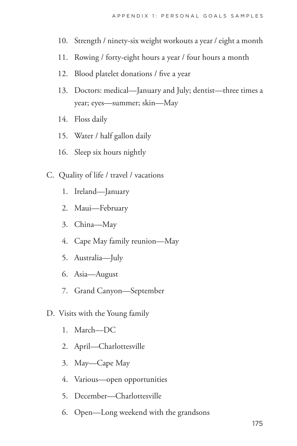- 10. Strength / ninety-six weight workouts a year / eight a month
- 11. Rowing / forty-eight hours a year / four hours a month
- 12. Blood platelet donations / five a year
- 13. Doctors: medical—January and July; dentist—three times a year; eyes—summer; skin—May
- 14. Floss daily
- 15. Water / half gallon daily
- 16. Sleep six hours nightly
- C. Quality of life / travel / vacations
	- 1. Ireland—January
	- 2. Maui—February
	- 3. China—May
	- 4. Cape May family reunion—May
	- 5. Australia—July
	- 6. Asia—August
	- 7. Grand Canyon—September
- D. Visits with the Young family
	- 1. March—DC
	- 2. April—Charlottesville
	- 3. May—Cape May
	- 4. Various—open opportunities
	- 5. December—Charlottesville
	- 6. Open—Long weekend with the grandsons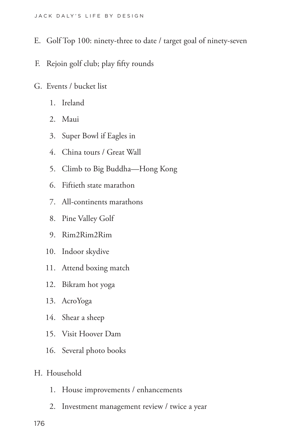- E. Golf Top 100: ninety-three to date / target goal of ninety-seven
- F. Rejoin golf club; play fifty rounds
- G. Events / bucket list
	- 1. Ireland
	- 2. Maui
	- 3. Super Bowl if Eagles in
	- 4. China tours / Great Wall
	- 5. Climb to Big Buddha—Hong Kong
	- 6. Fiftieth state marathon
	- 7. All-continents marathons
	- 8. Pine Valley Golf
	- 9. Rim2Rim2Rim
	- 10. Indoor skydive
	- 11. Attend boxing match
	- 12. Bikram hot yoga
	- 13. AcroYoga
	- 14. Shear a sheep
	- 15. Visit Hoover Dam
	- 16. Several photo books
- H. Household
	- 1. House improvements / enhancements
	- 2. Investment management review / twice a year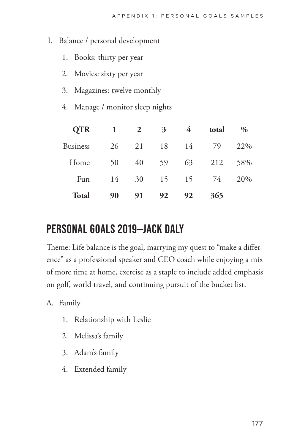#### I. Balance / personal development

- 1. Books: thirty per year
- 2. Movies: sixty per year
- 3. Magazines: twelve monthly
- 4. Manage / monitor sleep nights

| <b>QTR</b>      | 1  | $\mathbf{2}$ | 3  | $\overline{4}$ | total | $\%$ |
|-----------------|----|--------------|----|----------------|-------|------|
| <b>Business</b> | 26 | 21           | 18 | 14             | 79    | 22\% |
| Home            | 50 | 40           | 59 | 63             | 212   | 58%  |
| Fun             | 14 | 30           |    | 15 15 74       |       | 20%  |
| <b>Total</b>    | 90 | 91           | 92 | 92             | 365   |      |

# **PERSONAL GOALS 2019—JACK DALY**

Theme: Life balance is the goal, marrying my quest to "make a difference" as a professional speaker and CEO coach while enjoying a mix of more time at home, exercise as a staple to include added emphasis on golf, world travel, and continuing pursuit of the bucket list.

- A. Family
	- 1. Relationship with Leslie
	- 2. Melissa's family
	- 3. Adam's family
	- 4. Extended family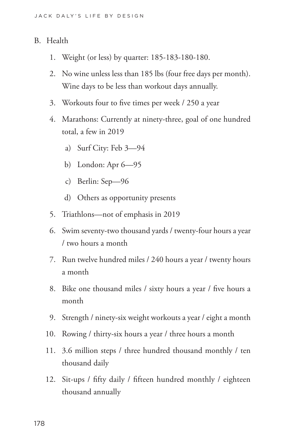#### B. Health

- 1. Weight (or less) by quarter: 185-183-180-180.
- 2. No wine unless less than 185 lbs (four free days per month). Wine days to be less than workout days annually.
- 3. Workouts four to five times per week / 250 a year
- 4. Marathons: Currently at ninety-three, goal of one hundred total, a few in 2019
	- a) Surf City: Feb 3—94
	- b) London: Apr 6—95
	- c) Berlin: Sep—96
	- d) Others as opportunity presents
- 5. Triathlons—not of emphasis in 2019
- 6. Swim seventy-two thousand yards / twenty-four hours a year / two hours a month
- 7. Run twelve hundred miles / 240 hours a year / twenty hours a month
- 8. Bike one thousand miles / sixty hours a year / five hours a month
- 9. Strength / ninety-six weight workouts a year / eight a month
- 10. Rowing / thirty-six hours a year / three hours a month
- 11. 3.6 million steps / three hundred thousand monthly / ten thousand daily
- 12. Sit-ups / fifty daily / fifteen hundred monthly / eighteen thousand annually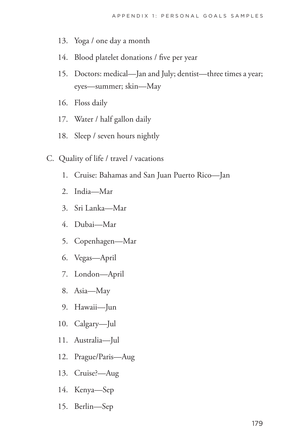- 13. Yoga / one day a month
- 14. Blood platelet donations / five per year
- 15. Doctors: medical—Jan and July; dentist—three times a year; eyes—summer; skin—May
- 16. Floss daily
- 17. Water / half gallon daily
- 18. Sleep / seven hours nightly
- C. Quality of life / travel / vacations
	- 1. Cruise: Bahamas and San Juan Puerto Rico—Jan
	- 2. India—Mar
	- 3. Sri Lanka—Mar
	- 4. Dubai—Mar
	- 5. Copenhagen—Mar
	- 6. Vegas—April
	- 7. London—April
	- 8. Asia—May
	- 9. Hawaii—Jun
	- 10. Calgary—Jul
	- 11. Australia—Jul
	- 12. Prague/Paris—Aug
	- 13. Cruise?—Aug
	- 14. Kenya—Sep
	- 15. Berlin—Sep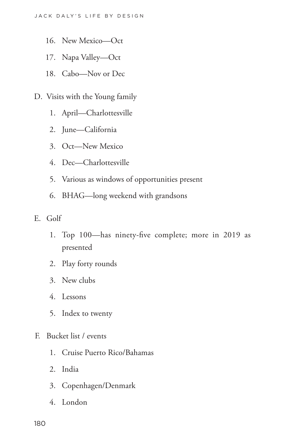- 16. New Mexico—Oct
- 17. Napa Valley—Oct
- 18. Cabo—Nov or Dec
- D. Visits with the Young family
	- 1. April—Charlottesville
	- 2. June—California
	- 3. Oct—New Mexico
	- 4. Dec—Charlottesville
	- 5. Various as windows of opportunities present
	- 6. BHAG—long weekend with grandsons
- E. Golf
	- 1. Top 100—has ninety-five complete; more in 2019 as presented
	- 2. Play forty rounds
	- 3. New clubs
	- 4. Lessons
	- 5. Index to twenty
- F. Bucket list / events
	- 1. Cruise Puerto Rico/Bahamas
	- 2. India
	- 3. Copenhagen/Denmark
	- 4. London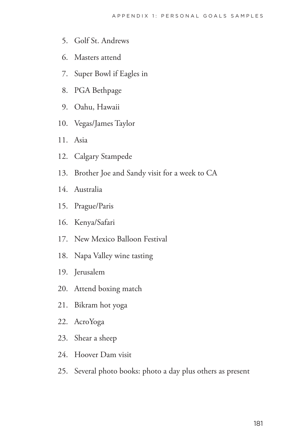- 5. Golf St. Andrews
- 6. Masters attend
- 7. Super Bowl if Eagles in
- 8. PGA Bethpage
- 9. Oahu, Hawaii
- 10. Vegas/James Taylor
- 11. Asia
- 12. Calgary Stampede
- 13. Brother Joe and Sandy visit for a week to CA
- 14. Australia
- 15. Prague/Paris
- 16. Kenya/Safari
- 17. New Mexico Balloon Festival
- 18. Napa Valley wine tasting
- 19. Jerusalem
- 20. Attend boxing match
- 21. Bikram hot yoga
- 22. AcroYoga
- 23. Shear a sheep
- 24. Hoover Dam visit
- 25. Several photo books: photo a day plus others as present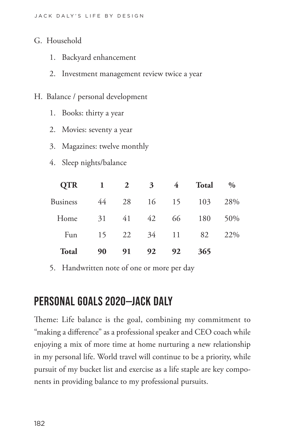- G. Household
	- 1. Backyard enhancement
	- 2. Investment management review twice a year
- H. Balance / personal development
	- 1. Books: thirty a year
	- 2. Movies: seventy a year
	- 3. Magazines: twelve monthly
	- 4. Sleep nights/balance

| <b>QTR</b>      | $\mathbf{1}$ | 2  | $3^{\circ}$ | $\overline{4}$ | <b>Total</b> | $\frac{0}{0}$ |
|-----------------|--------------|----|-------------|----------------|--------------|---------------|
| <b>Business</b> | 44           | 28 | 16          | 15             | 103          | 28%           |
| Home            | 31           | 41 | 42          | 66             | 180          | 50%           |
| Fun             | 15           | 22 | 34          | 11             | 82           | 22\%          |
| <b>Total</b>    | 90           | 91 | 92          | 92             | 365          |               |

5. Handwritten note of one or more per day

# **PERSONAL GOALS 2020—JACK DALY**

Theme: Life balance is the goal, combining my commitment to "making a difference" as a professional speaker and CEO coach while enjoying a mix of more time at home nurturing a new relationship in my personal life. World travel will continue to be a priority, while pursuit of my bucket list and exercise as a life staple are key components in providing balance to my professional pursuits.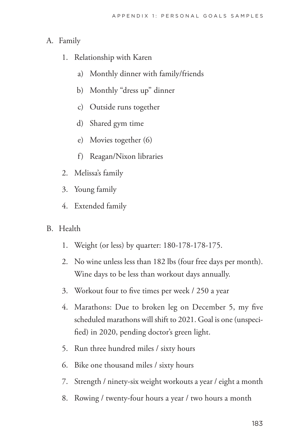### A. Family

- 1. Relationship with Karen
	- a) Monthly dinner with family/friends
	- b) Monthly "dress up" dinner
	- c) Outside runs together
	- d) Shared gym time
	- e) Movies together (6)
	- f) Reagan/Nixon libraries
- 2. Melissa's family
- 3. Young family
- 4. Extended family
- B. Health
	- 1. Weight (or less) by quarter: 180-178-178-175.
	- 2. No wine unless less than 182 lbs (four free days per month). Wine days to be less than workout days annually.
	- 3. Workout four to five times per week / 250 a year
	- 4. Marathons: Due to broken leg on December 5, my five scheduled marathons will shift to 2021. Goal is one (unspecified) in 2020, pending doctor's green light.
	- 5. Run three hundred miles / sixty hours
	- 6. Bike one thousand miles / sixty hours
	- 7. Strength / ninety-six weight workouts a year / eight a month
	- 8. Rowing / twenty-four hours a year / two hours a month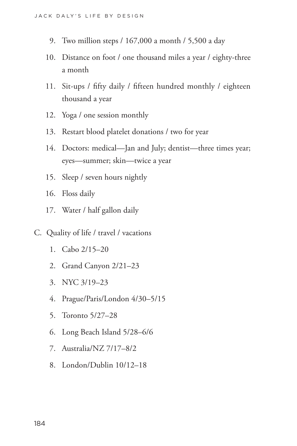- 9. Two million steps / 167,000 a month / 5,500 a day
- 10. Distance on foot / one thousand miles a year / eighty-three a month
- 11. Sit-ups / fifty daily / fifteen hundred monthly / eighteen thousand a year
- 12. Yoga / one session monthly
- 13. Restart blood platelet donations / two for year
- 14. Doctors: medical—Jan and July; dentist—three times year; eyes—summer; skin—twice a year
- 15. Sleep / seven hours nightly
- 16. Floss daily
- 17. Water / half gallon daily
- C. Quality of life / travel / vacations
	- 1. Cabo 2/15–20
	- 2. Grand Canyon 2/21–23
	- 3. NYC 3/19–23
	- 4. Prague/Paris/London 4/30–5/15
	- 5. Toronto 5/27–28
	- 6. Long Beach Island 5/28–6/6
	- 7. Australia/NZ 7/17–8/2
	- 8. London/Dublin 10/12–18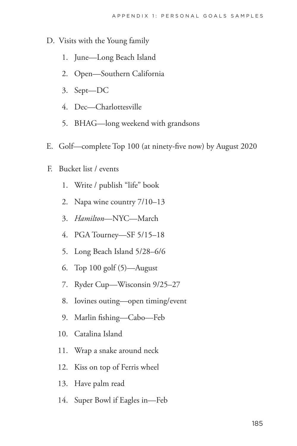- D. Visits with the Young family
	- 1. June—Long Beach Island
	- 2. Open—Southern California
	- 3. Sept—DC
	- 4. Dec—Charlottesville
	- 5. BHAG—long weekend with grandsons
- E. Golf—complete Top 100 (at ninety-five now) by August 2020
- F. Bucket list / events
	- 1. Write / publish "life" book
	- 2. Napa wine country 7/10–13
	- 3. *Hamilton*—NYC—March
	- 4. PGA Tourney—SF 5/15–18
	- 5. Long Beach Island 5/28–6/6
	- 6. Top 100 golf (5)—August
	- 7. Ryder Cup—Wisconsin 9/25–27
	- 8. Iovines outing—open timing/event
	- 9. Marlin fishing—Cabo—Feb
	- 10. Catalina Island
	- 11. Wrap a snake around neck
	- 12. Kiss on top of Ferris wheel
	- 13. Have palm read
	- 14. Super Bowl if Eagles in—Feb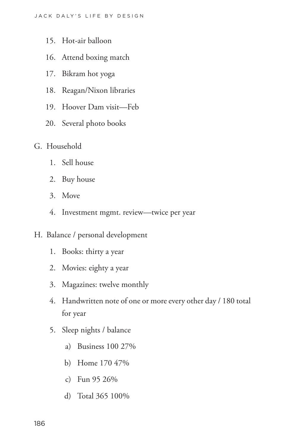- 15. Hot-air balloon
- 16. Attend boxing match
- 17. Bikram hot yoga
- 18. Reagan/Nixon libraries
- 19. Hoover Dam visit—Feb
- 20. Several photo books
- G. Household
	- 1. Sell house
	- 2. Buy house
	- 3. Move
	- 4. Investment mgmt. review—twice per year
- H. Balance / personal development
	- 1. Books: thirty a year
	- 2. Movies: eighty a year
	- 3. Magazines: twelve monthly
	- 4. Handwritten note of one or more every other day / 180 total for year
	- 5. Sleep nights / balance
		- a) Business 100 27%
		- b) Home 170 47%
		- c) Fun 95 26%
		- d) Total 365 100%